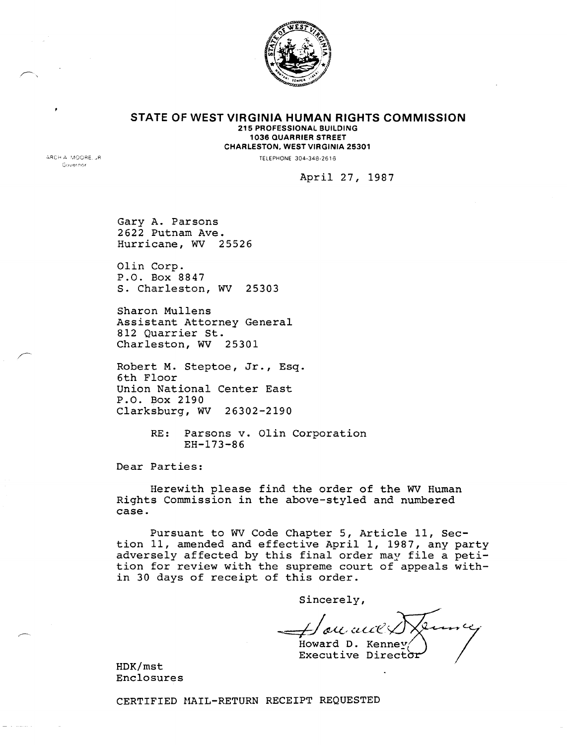

**STATE OF WEST VIRGINIA HUMAN RIGHTS COMMISSION** 215 PROFESSIONAL BUILDING 1036 QUARRIER STREET CHARLESTON. WEST VIRGINIA 25301

TELEPHONE 304-348-2616

ARCH A MOORE, JR Governor

April 27, 1987

Gary A. Parsons 2622 Putnam Ave. Hurricane, WV 25526

Olin Corp. P.O. Box 8847 S. Charleston, WV 25303

Sharon Mullens Assistant Attorney General 812 Quarrier St. Charleston, WV 25301

Robert M. Steptoe, Jr., Esq. 6th Floor Union National Center East P.O. Box 2190 Clarksburg, WV 26302-2190

> RE: Parsons v. Olin Corporation EH-173-86

Dear Parties:

Herewith please find the order of the WV Human Rights Commission in the above-styled and numbered case.

Pursuant to WV Code Chapter 5, Article 11, Section 11, amended and effective April 1, 1987, any party adversely affected by this final order may file a petition for review with the supreme court of appeals within 30 days of receipt of this order.

Sincerely,

'ou auc Howard D. Kenney

Executive Director

HDK/mst Enclosures

CERTIFIED MAIL-RETURN RECEIPT REQUESTED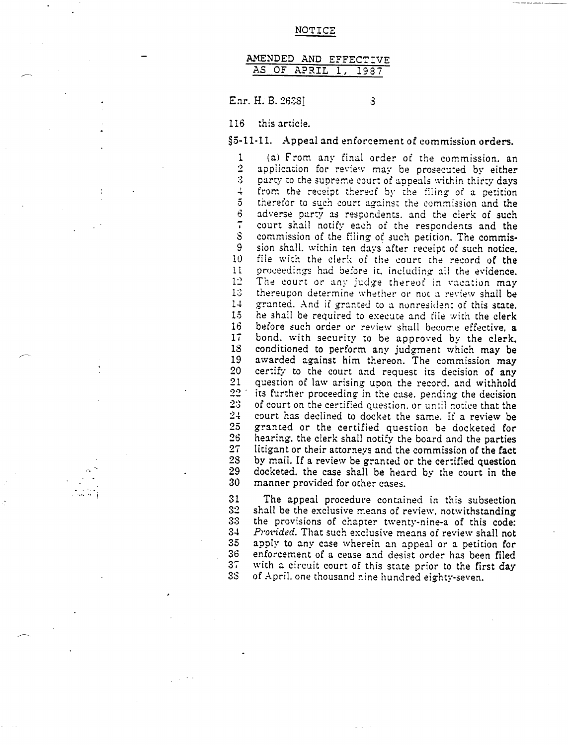#### AMENDED AND EFFECTIVE AS OF APRIL 1. 1987

Ear. H. B. 26381

8

116 this article.

 $\mathcal{L} \rightarrow \mathcal{L}$ 

§5-11-11. Appeal and enforcement of commission orders.

(a) From any final order of the commission. an  $\mathbf{1}$  $\overline{2}$ application for review may be prosecuted by either  $\ddot{\textbf{3}}$ party to the supreme court of appeals within thirty days  $\ddot{+}$ from the receipt thereof by the filing of a petition  $\overline{5}$ therefor to such court against the commission and the 6. adverse party as respondents, and the clerk of such  $\overline{\phantom{a}}$ court shall notify each of the respondents and the  $\mathbf S$ commission of the filing of such petition. The commis-9 sion shall, within ten days after receipt of such notice. file with the clerk of the court the record of the  $10$  $11$ proceedings had before it, including all the evidence. The court or any judge thereof in vacation may  $12$  $13$ thereupon determine whether or not a review shall be  $14$ granted. And if granted to a nonresident of this state.  $15$ he shall be required to execute and file with the clerk 16 before such order or review shall become effective, a  $17$ bond, with security to be approved by the clerk. 18 conditioned to perform any judgment which may be 19 awarded against him thereon. The commission may  $20$ certify to the court and request its decision of any  $21$ question of law arising upon the record, and withhold  $22$ its further proceeding in the case. pending the decision  $23$ of court on the certified question, or until notice that the  $24$ court has declined to docket the same. If a review be  $25$ granted or the certified question be docketed for  $26$ hearing, the clerk shall notify the board and the parties  $27$ litigant or their attorneys and the commission of the fact 28 by mail. If a review be granted or the certified question 29 docketed. the case shall be heard by the court in the manner provided for other cases. 30

31 The appeal procedure contained in this subsection  $32<sub>2</sub>$ shall be the exclusive means of review, notwithstanding 33 the provisions of chapter twenty-nine-a of this code: 34 *Provided.* That such exclusive means of review shall not  $35<sub>5</sub>$ apply to any case wherein an appeal or a petition for  $36$ enforcement of a cease and desist order has been filed  $37$ with a circuit court of this state prior to the first day of April, one thousand nine hundred eighty-seven. 38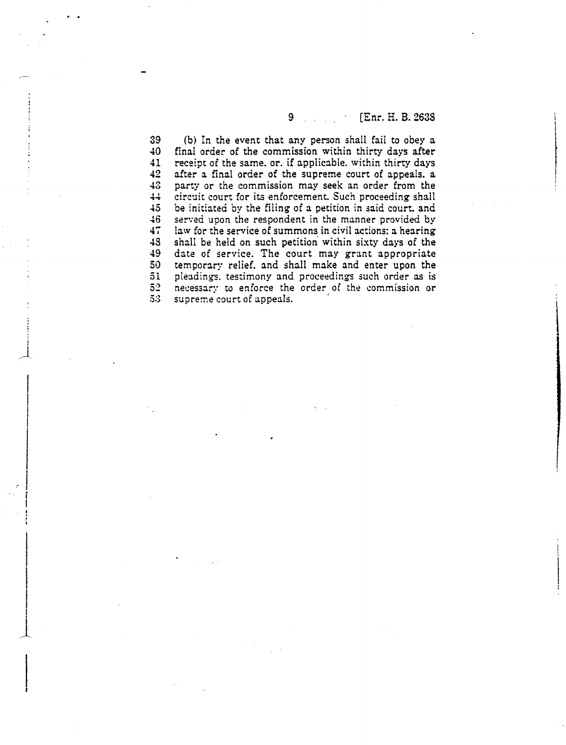#### $9.111$ [Enr. H. B. 2638  $\sim$

39 (b) In the event that any person shall fail to obey a 40 final order of the commission within thirty days after 41 receipt of the same. or. if applicable. within thirty days 42 after a final order of the supreme court of appeals. a 43 party or the commission may seek an order from the  $44$ circuit court for its enforcement. Such proceeding shall  $45$ be initiated by the filing of a petition in said court, and  $\overline{46}$ served upon the respondent in the manner provided by  $47$ law for the service of summons in civil actions: a hearing 48 shall be held on such petition' within sixty days of the 49 date of service. The court may grant appropriate 50 temporary relief, and shall make and enter upon the 51 pleadings. testimony and proceedings such order as is  $5<sup>2</sup>$ necessary to enforce the order of the commission or  $53$ supreme court of appeals.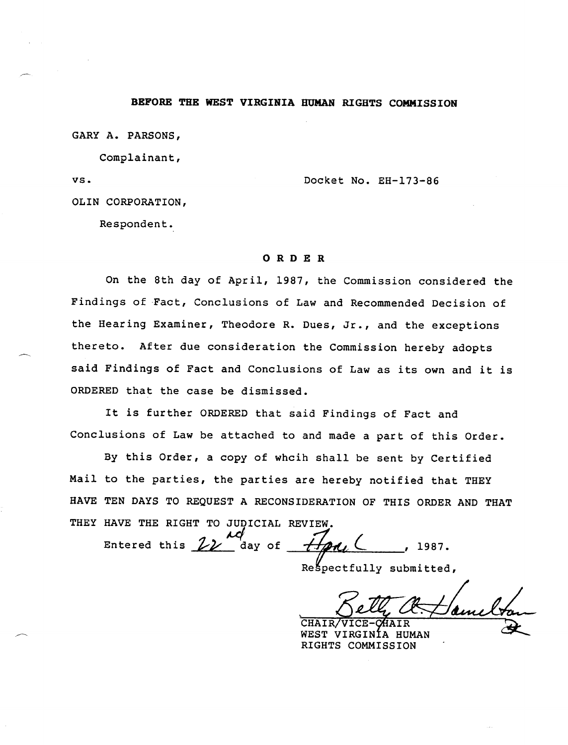## BEFORE THE WEST VIRGINIA HUMAN RIGHTS COMMISSION

GARY A. PARSONS,

Complainant,

VS.

Docket No. EH-173-86

OLIN CORPORATION,

Respondent.

## ORDER

On the 8th day of April, 1987, the Commission considered the Findings of Fact, Conclusions of Law and Recommended Decision of the Hearing Examiner, Theodore R. Dues, Jr., and the exceptions thereto. After due consideration the Commission hereby adopts said Findings of Fact and Conclusions of Law as its own and it is ORDERED that the case be dismissed.

It is further ORDERED that said Findings of Fact and Conclusions of Law be attached to and made a part of this Order.

By this Order, a copy of whcih shall be sent by Certified Mail to the parties, the parties are hereby notified that THEY HAVE TEN DAYS TO REQUEST A RECONSIDERATION OF THIS ORDER AND THAT THEY HAVE THE RIGHT TO JUDICIAL REVIEW.

Entered this  $ZZ$  $H$ *DA*,  $C$ day of 1987.

Respectfully submitted,

ain CHAIR/VICE-**HAIR** 

WEST VIRGINÍA HUMAN RIGHTS COMMISSION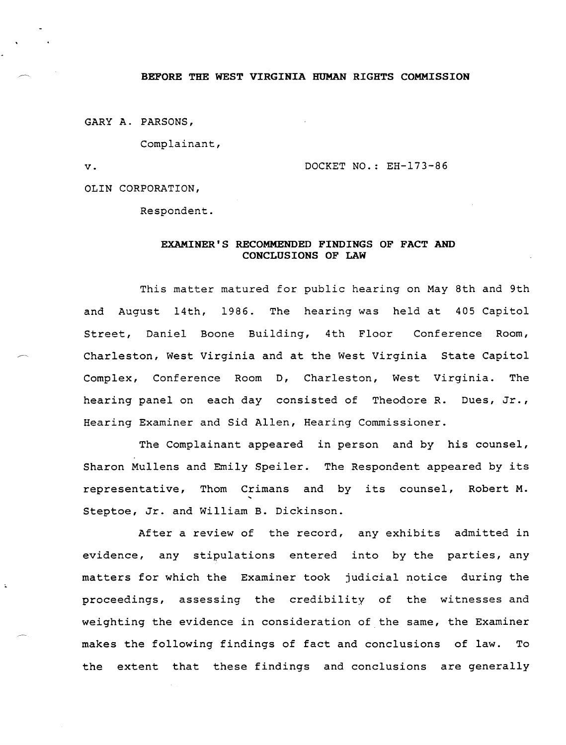## BEFORE THE WEST VIRGINIA HUMAN RIGHTS COMMISSION

GARY A. PARSONS,

Complainant,

 $\mathbf v$ .

DOCKET NO.: EH-173-86

OLIN CORPORATION,

Respondent.

## EXAMINER'S RECOMMENDED FINDINGS OF FACT AND CONCLUSIONS OF LAW

This matter matured for public hearing on May 8th and 9th and August 14th, 1986. The hearing was held at 405 Capitol Street, Daniel Boone Building, 4th Floor Conference Room, Charleston, West Virginia and at the West Virginia State Capitol Complex, Conference Room D, Charleston, West Virginia. The hearing panel on each day consisted of Theodore R. Dues, Jr., Hearing Examiner and Sid Allen, Hearing Commissioner.

The Complainant appeared in person and by his counsel, Sharon Mullens and Emily Speiler. The Respondent appeared by its representative, Thom Crimans and by its counsel, Robert M. Steptoe, Jr. and William B. Dickinson.

After a review of the record, any exhibits admitted in evidence, any stipulations entered into by the parties, any matters for which the Examiner took judicial notice during the proceedings, assessing the credibility of the witnesses and weighting the evidence in consideration of the same, the Examiner makes the following findings of fact and conclusions of law. To the extent that these findings and conclusions are generally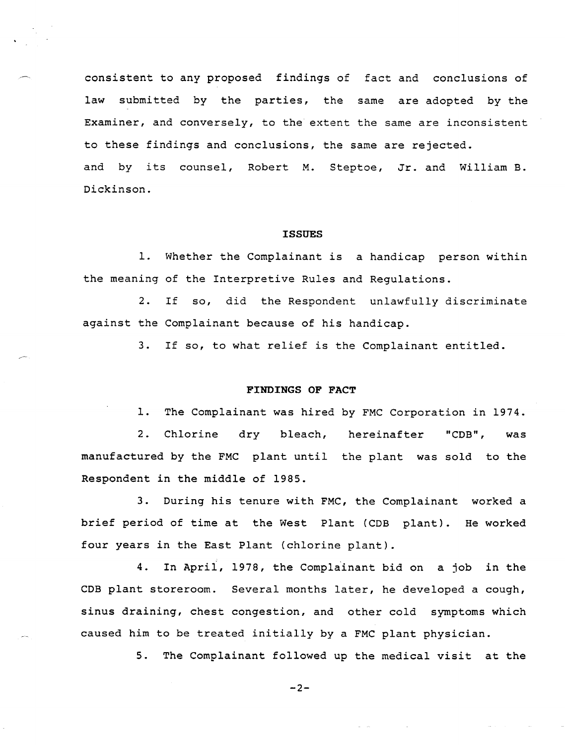consistent to any proposed findings of fact and conclusions of law submitted by the parties, the same are adopted by the Examiner, and conversely, to the extent the same are inconsistent to these findings and conclusions, the same are rejected. and by its counsel, Robert M. Steptoe, Jr. and William B. Dickinson.

### **ISSUES**

1. Whether the Complainant is a handicap person within the meaning of the Interpretive Rules and Regulations.

2. If so, did the Respondent unlawfully discriminate against the Complainant because of his handicap.

3. If so, to what relief is the Complainant entitled.

## FINDINGS OF FACT

1. The Complainant was hired by FMC Corporation in 1974.

2. Chlorine dry bleach, hereinafter "COB", was manufactured by the FMC plant until the plant was sold to the Respondent in the middle of 1985.

3. During his tenure with FMC, the Complainant worked a brief period of time at the West Plant (COB plant). He workedfour years in the East Plant (chlorine plant).

4. In April, 1978, the Complainant bid on a job in the COB plant storeroom. Several months later, he developed a cough, sinus draining, chest congestion, and other cold symptoms which caused him to be treated initially by a FMC plant physician.

5. The Complainant followed up the medical visit at the

 $-2-$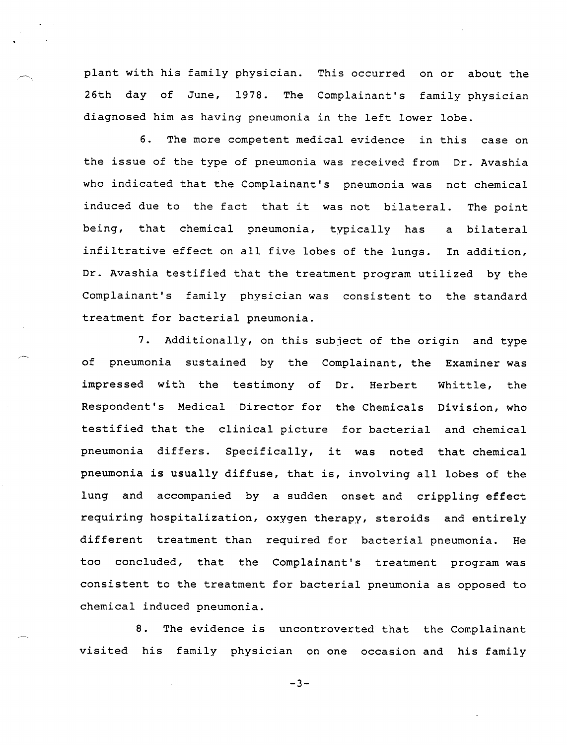plant with his family physician. This occurred on or about the 26th day of June, 1978. The Complainant's family physician diagnosed him as having pneumonia in the left lower lobe.

6. The more competent medical evidence in this case on the issue of the type of pneumonia was received from Dr. Avashia who indicated that the Complainant's pneumonia was not chemical induced due to the fact that it was not bilateral. The point being, that chemical pneumonia, typically has bilateral  $\mathbf{a}$ infiltrative effect on all five lobes of the lungs. In addition, Dr. Avashia testified that the treatment program utilized by the Complainant's family physician was consistent to the standard treatment for bacterial pneumonia.

7. Additionally, on this subject of the origin and type of pneumonia sustained by the Complainant, the Examiner was impressed with the testimony of Dr. Herbert Whittle, the Respondent's Medical Director for the Chemicals Division, who testified that the clinical picture for bacterial and chemical pneumonia differs. Specifically, it was noted that chemical pneumonia is usually diffuse, that is, involving all lobes of the lung and accompanied by a sudden onset and crippling effect requiring hospitalization, oxygen therapy, steroids and entirely different treatment than required for bacterial pneumonia. He too concluded, that the Complainant's treatment program was consistent to the treatment for bacterial pneumonia as opposed to chemical induced pneumonia.

8. The evidence is uncontroverted that the Complainant visited his family physician on one occasion and his family

 $-3-$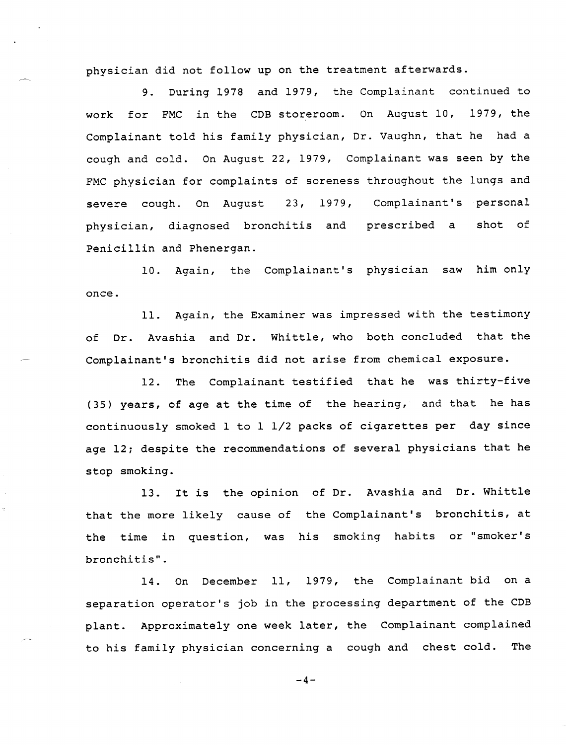physician did not follow up on the treatment afterwards.

9. During 1978 and 1979, the Complainant continued to work for FMC in the COB storeroom. On August 10, 1979, the Complainant told his family physician, Dr. Vaughn, that he had a cough and cold. On August 22, 1979, Complainant was seen by the FMC physician for complaints of soreness throughout the lungs and severe cough. On August 23, 1979, Complainant's personal physician, diagnosed bronchitis and prescribed a shot of Penicillin and Phenergan.

10. Again, the Complainant's physician saw him only once.

11. Again, the Examiner was impressed with the testimony of Dr. Avashia and Dr. Whittle, who both concluded that the Complainant's bronchitis did not arise from chemical exposure.

12. The Complainant testified that he was thirty-five (35) years, of age at the time of the hearing, and that he has continuously smoked 1 to 1 1/2 packs of cigarettes per day since age 12; despite the recommendations of several physicians that he stop smoking.

13. It is the opinion of Dr. Avashia and Dr. Whittle that the more likely cause of the Complainant's bronchitis, at the time in question, was his smoking habits or "smoker's bronchitis".

14. On December 11, 1979, the Complainant bid on a separation operator's job in the processing department of the COB plant. Approximately one week later, the Complainant complained to his family physician concerning a cough and chest cold. The

 $-4-$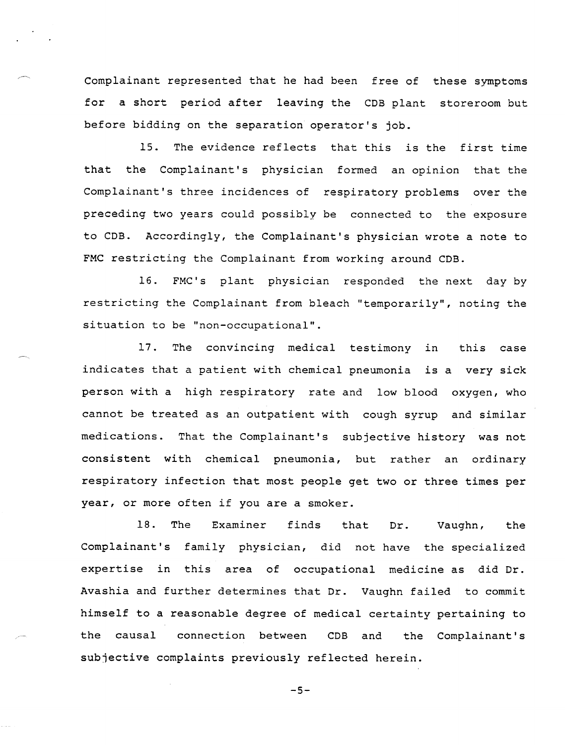Complainant represented that he had been free of these symptoms for a short period after leaving the CDB plant storeroom but before bidding on the separation operator's job.

15. The evidence reflects that this is the first time that the Complainant's physician formed an opinion that the Complainant's three incidences of respiratory problems over the preceding two years could possibly be connected to the exposure to CDB. Accordingly, the Complainant's physician wrote a note to FMC restricting the Complainant from working around CDB.

16. FMC's plant physician responded the next day by restricting the Complainant from bleach "temporarily", noting the situation to be "non-occupational".

17. The convincing medical testimony in this case indicates that a patient with chemical pneumonia is a very sick person with a high respiratory rate and low blood oxygen, who cannot be treated as an outpatient with cough syrup and similar medications. That the Complainant's subjective history was not consistent with chemical pneumonia, but rather an ordinary respiratory infection that most people get two or three times per year, or more often if you are a smoker.

18. The Examiner finds that Dr. Vaughn, the Complainant's family physician, did not have the specialized expertise *in* this area of occupational medicine as did Dr. Avashia and further determines that Dr. Vaughn failed to commit himself to a reasonable degree of medical certainty pertaining to the causal connection between CDB and the Complainant's subjective complaints previously reflected herein.

 $-5-$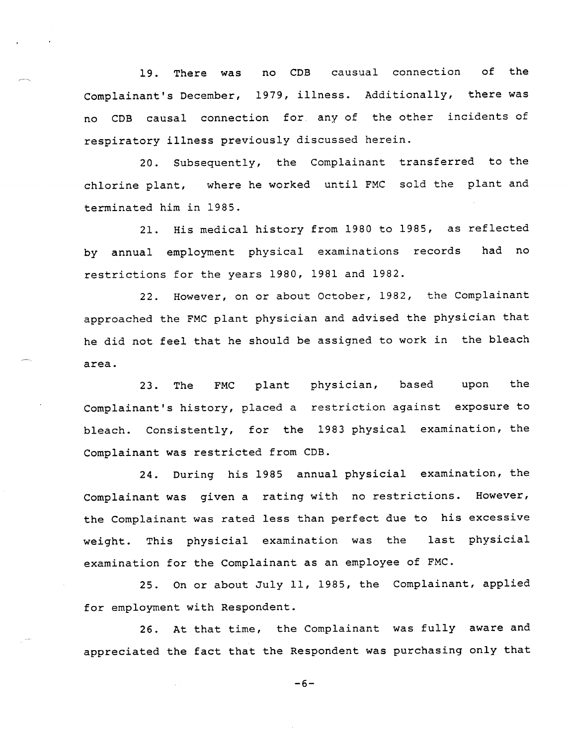19. There was no COB causual connection of the Complainant's December, 1979, illness. Additionally, there was no COB causal connection for any of the other incidents of respiratory illness previously discussed herein.

20. Subsequently, the Complainant transferred to the chlorine plant, where he worked until FMC sold the plant and terminated him in 1985.

21. His medical history from 1980 to 1985, as reflected by annual employment physical examinations records had no restrictions for the years 1980, 1981 and 1982.

22. However, on or about October, 1982, the Complainant approached the FMC plant physician and advised the physician that he did not feel that he should be assigned to work in the bleach area.

23. The FMC plant physician, based upon the Complainant's history, placed a restriction against exposure to bleach. Consistently, for the 1983 physical examination, the Complainant was restricted from COB.

24. During his 1985 annual physicial examination, the Complainant was given a rating with no restrictions. However, the Complainant was rated less than perfect due to his excessive weight. This physicial examination was the last physicial examination for the Complainant as an employee of FMC.

25. On or about July 11, 1985, the Complainant, applied for employment with Respondent.

26. At that time, the Complainant was fully aware and appreciated the fact that the Respondent was purchasing only that

 $-6-$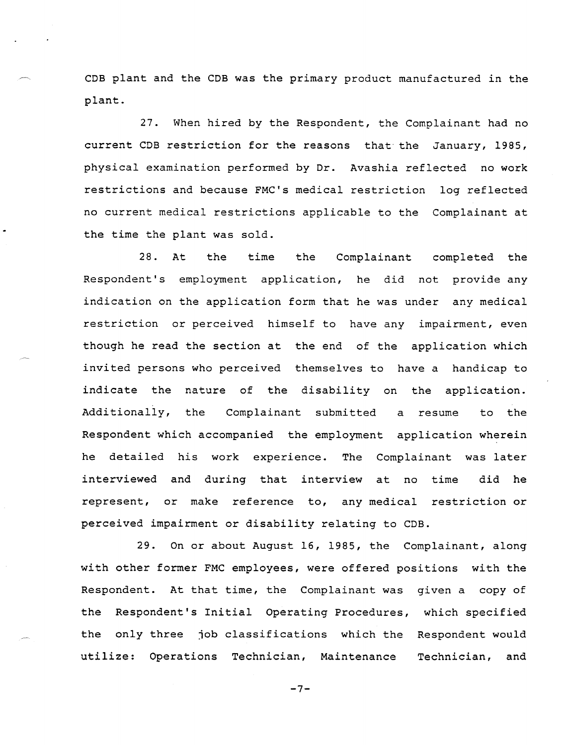COB plant and the COB was the primary product manufactured in the plant.

27. When hired by the Respondent, the Complainant had no current COB restriction for the reasons that"the January, 1985, physical examination performed by Dr. Avashia reflected no work restrictions and because FMC's medical restriction log reflected no current medical restrictions applicable to the Complainant at the time the plant was sold.

28. At the time the Complainant completed the Respondent's employment application, he did not provide any indication on the application form that he was under any medical restriction or perceived himself to have any impairment, even though he read the section at the end of the application which invited persons who perceived themselves to have a handicap to indicate the nature of the disability on the application. Additionally, the Complainant submitted a resume to the Respondent which accompanied the employment application wherein he detailed his work experience. The Complainant was later interviewed and during that interview at no time did he represent, or make reference to, any medical restriction or perceived impairment or disability relating to COB.

29. On or about August 16, 1985, the Complainant, along with other former FMC employees, were offered positions with the Respondent. At that time, the Complainant was given a copy of the Respondent's Initial Operating Procedures, which specified the only three job classifications which the Respondent would utilize: Operations Technician, Maintenance Technician, and

 $-7-$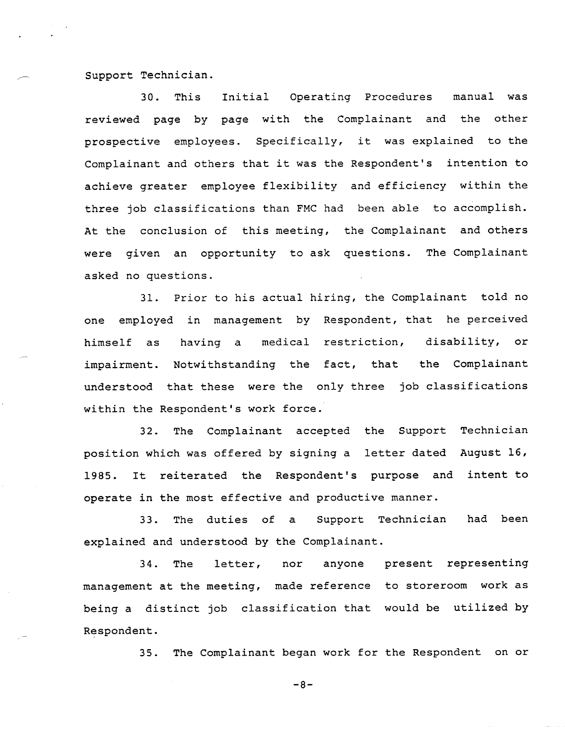support Technician.

30. This Initial Operating Procedures manual was reviewed page by page with the Complainant and the other prospective employees. Specifically, it was explained to the Complainant and others that it was the Respondent's intention to achieve greater employee flexibility and efficiency within the three job classifications than FMC had been able to accomplish. At the conclusion of this meeting, the Complainant and others were given an opportunity to ask questions. The Complainant asked no questions.

31. Prior to his actual hiring, the Complainant told no one employed in management by Respondent, that he perceived himself as having a medical restriction, disability, or impairment. Notwithstanding the fact, that the Complainant understood that these were the only three job classifications within the Respondent's work force.

32. The Complainant accepted the Support Technician position which was offered by signing a letter dated August 16, 1985. It reiterated the Respondent's purpose and operate in the most effective and productive manner. intent to

been 33. The duties of a Support Technician had explained and understood by the Complainant.

34. The letter, nor anyone present representing management at the meeting, made reference to storeroom work as being a distinct job classification that would be utilized by Respondent.

> The Complainant began work for the Respondent on or 35.

> > $-8-$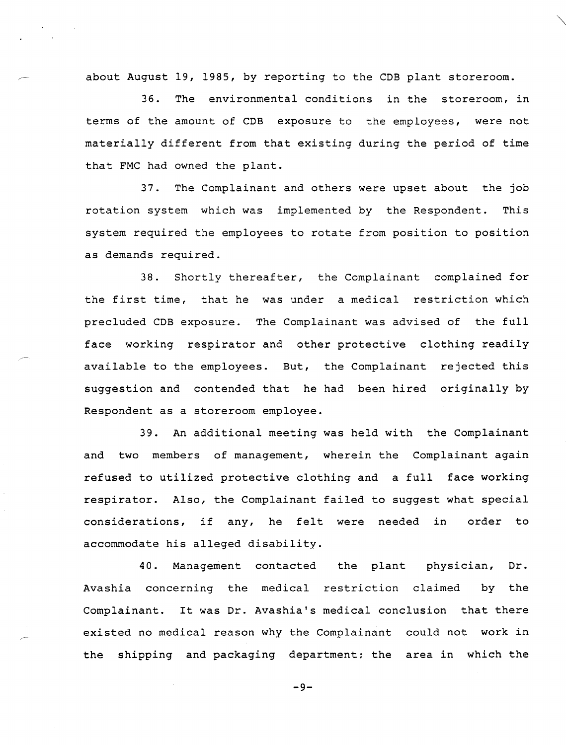about August 19, 1985, by reporting to the COB plant storeroom.

36. The environmental conditions in the storeroom, in terms of the amount of COB exposure to the employees, were not materially different from that existing during the period of time that FMC had owned the plant.

37. The Complainant and others were upset about the job rotation system which was implemented by the Respondent. This system required the employees to rotate from position to position as demands required.

38. Shortly thereafter, the Complainant complained for the first time, that he was under a medical restriction which precluded COB exposure. The Complainant was advised of the full face working respirator and other protective clothing readily available to the employees. But, the Complainant rejected this suggestion and contended that he had been hired originally by Respondent as a storeroom employee.

39. An additional meeting was held with the Complainant and two members of management, wherein the Complainant again refused to utilized protective clothing and a full face working respirator. Also, the Complainant failed to suggest what special considerations, if any, he felt were needed in order to accommodate his alleged disability.

40. Management contacted the plant physician, Dr. Avashia concerning the medical restriction claimed by the Complainant. It was Dr. Avashia's medical conclusion that there existed no medical reason why the Complainant could not work in the shipping and packaging department: the area in which the

 $-9-$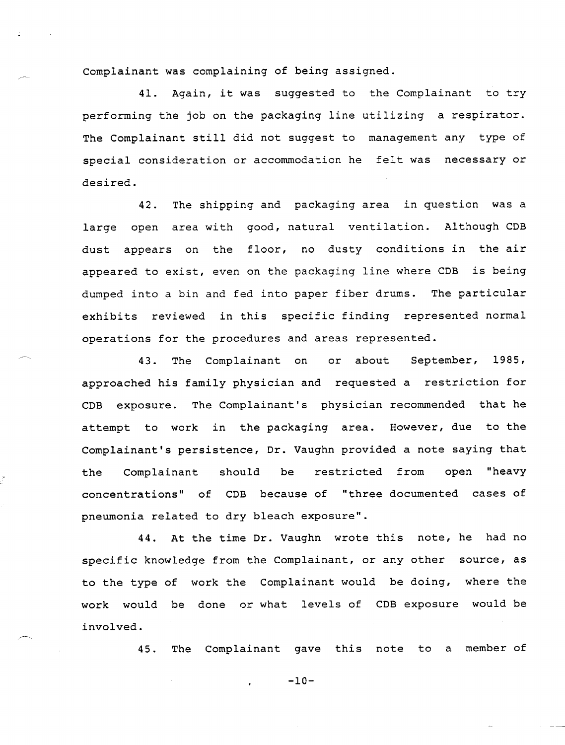Complainant was complaining of being assigned.

41. Again, it was suggested to the Complainant to try performing the job on the packaging line utilizing a respirator. The Complainant still did not suggest to management any type of special consideration or accommodation he felt was necessary or desired.

42. The shipping and packaging area in question was a large open area with good, natural ventilation. Although CDB dust appears on the floor, no dusty conditions in the air appeared to exist, even on the packaging line where CDB is being dumped into a bin and fed into paper fiber drums. The particular exhibits reviewed in this specific finding represented normal operations for the procedures and areas represented.

43. The Complainant on or about September, 1985, approached his family physician and requested a restriction for CDB exposure. The Complainant's physician recommended that he attempt to work in the packaging area. However, due to the Complainant's persistence, Dr. Vaughn provided a note saying that the Complainant should be restricted from open "heavy concentrations" of CDB because of "three documented cases of pneumonia related to dry bleach exposure".

44. At the time Dr. Vaughn wrote this note, he had no specific knowledge from the Complainant, or any other source, as to the type of work the Complainant would be doing, where the work would be done or what levels of CDB exposure would be involved.

45. The Complainant gave this note to a member of

 $-10-$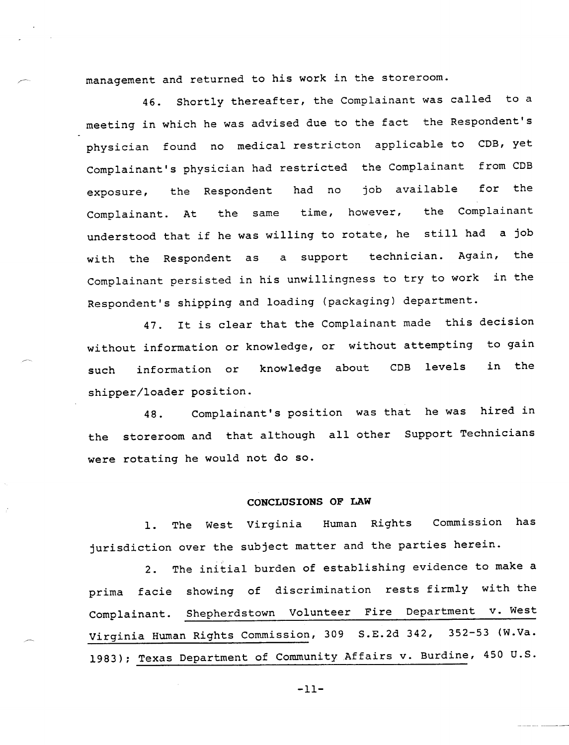management and returned to his work in the storeroom.

46. Shortly thereafter, the Complainant was called to a meeting in which he was advised due to the fact the Respondent's physician found no medical restricton applicable to CDB, yet Complainant's physician had restricted the Complainant from CDB exposure, the Respondent had no job available for the Complainant. At the same time, however, the Complainant understood that if he was willing to rotate, he still had a job with the Respondent as a support technician. Again, the Complainant persisted in his unwillingness to try to work in the Respondent's shipping and loading (packaging) department.

47. It is clear that the Complainant made this decision without information or knowledge, or without attempting to gain such information or knowledge about CDB levels in the shipper/loader position.

48. Complainant's position was that he was hired in the storeroom and that although all other Support Technicians were rotating he would not do so.

# **CONCLUSIONS OF LAW**

1. The West Virginia Human Rights Commission has jurisdiction over the subject matter and the parties herein.

2. The initial burden of establishing evidence to make a prima facie showing of discrimination rests firmly with the Complainant. Shepherdstown Volunteer Fire Department v. West Virginia Human Rights Commission, 309 S.E.2d 342, 352-53 (W.Va. 1983); Texas Department of Community Affairs v. Burdine, 450 u.S.

 $-11-$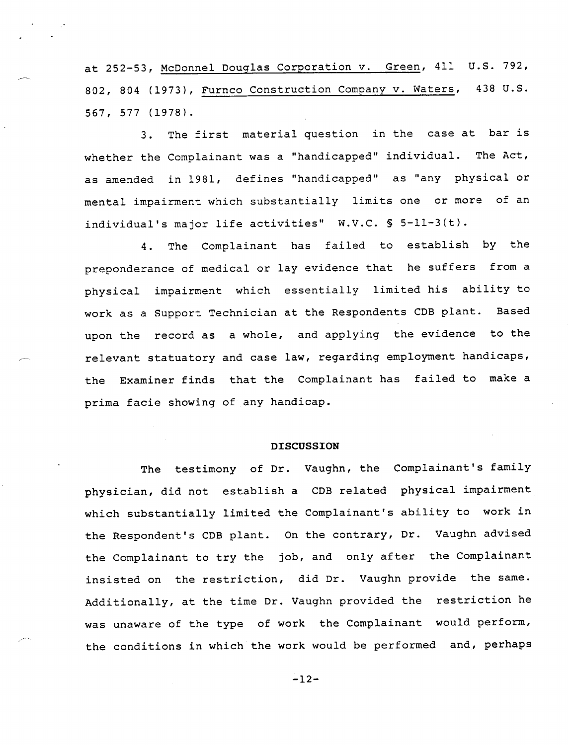at 252-53, McDonnel Douglas Corporation v. Green, 411 u.s. 792, 802, 804 (1973), Furnco Construction Company v. Waters, 438 U.S. 567, 577 (1978).

3. The first material question in the case at bar is whether the Complainant was a "handicapped" individual. The Act, as amended in 1981, defines "handicapped" as "any physical or mental impairment which substantially limits one or more of an individual's major life activities" W.V.C. § 5-11-3(t).

4. The Complainant has failed to establish by the preponderance of medical or lay evidence that he suffers from a physical impairment which essentially limited his ability to work as a Support Technician at the Respondents COB plant. Based upon the record as a whole, and applying the evidence to the relevant statuatory and case law, regarding employment handicaps, the Examiner finds that the Complainant has failed to make a prima facie showing of any handicap.

## **DISCUSSION**

The testimony of Dr. Vaughn, the Complainant's family physician, did not establish a COB related physical impairment which substantially limited the Complainant's ability to work in the Respondent's COB plant. On the contrary, Dr. Vaughn advised the Complainant to try the job, and only after the Complainant insisted on the restriction, did Dr. Vaughn provide the same. Additionally, at the time Dr. Vaughn provided the restriction he was unaware of the type of work the Complainant would perform, the conditions in which the work would be performed and, perhaps

 $-12-$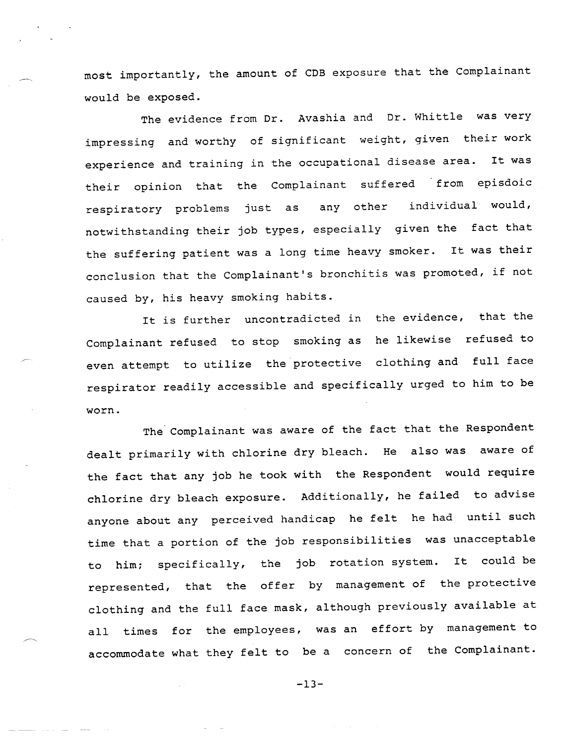most importantly, the amount of CDB exposure that the Complainant would be exposed.

The evidence from Dr. Avashia and Dr. Whittle was very impressing and worthy of significant weight, given their work experience and training in the occupational disease area. It was their opinion that the Complainant suffered from episdoic respiratory problems just as any other individual would, notwithstanding their job types, especially given the fact that the suffering patient was a long time heavy smoker. It was their conclusion that the Complainant's bronchitis was promoted, if not caused by, his heavy smoking habits.

It is further uncontradicted in the evidence, that the Complainant refused to stop smoking as he likewise refused to even attempt to utilize the protective clothing and full face respirator readily accessible and specifically urged to him to be worn.

The Complainant was aware of the fact that the Respondent dealt primarily with chlorine dry bleach. He also was aware of the fact that any job he took with the Respondent would require chlorine dry bleach exposure. Additionally, he failed to advise anyone about any perceived handicap he felt he had until such time that a portion of the job responsibilities was unacceptable to him; specifically, the job rotation system. It could be represented, that the offer by management of the protective clothing and the full face mask, although previously available at all times for the employees, was an effort by management to accommodate what they felt to be a concern of the Complainant.

 $-13-$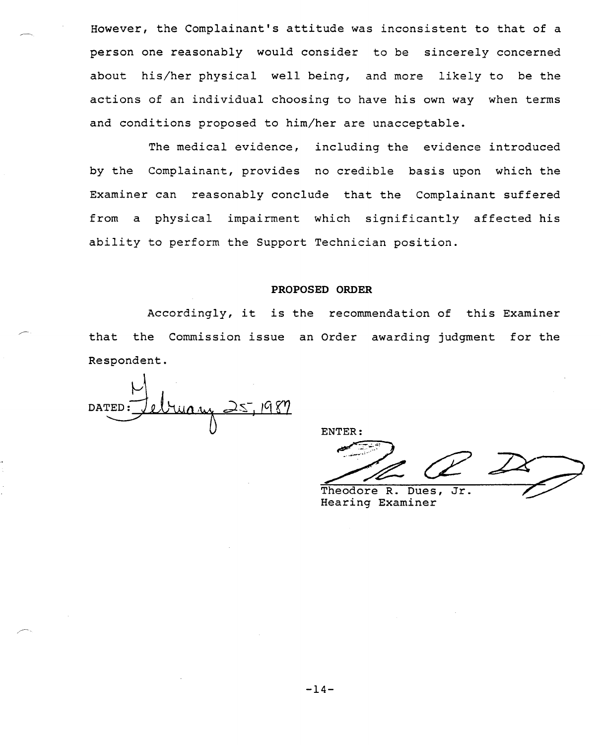However, the Complainant's attitude was inconsistent to that of a person one reasonably would consider to be sincerely concerned about his/her physical well being, and more likely to be the actions of an individual choosing to have his own way when terms and conditions proposed to him/her are unacceptable.

The medical evidence, including the evidence introduced by the Complainant, provides no credible basis upon which the Examiner can reasonably conclude that the Complainant suffered from a physical impairment which significantly affected his ability to perform the Support Technician position.

## PROPOSED ORDER

Accordingly, it is the recommendation of this Examiner that the Commission issue an Order awarding judgment for the Respondent.

ruas **DATED** 

ENTER:

ENTER:<br>
Pheodore R. Dues, Jr.

Hearing Examiner